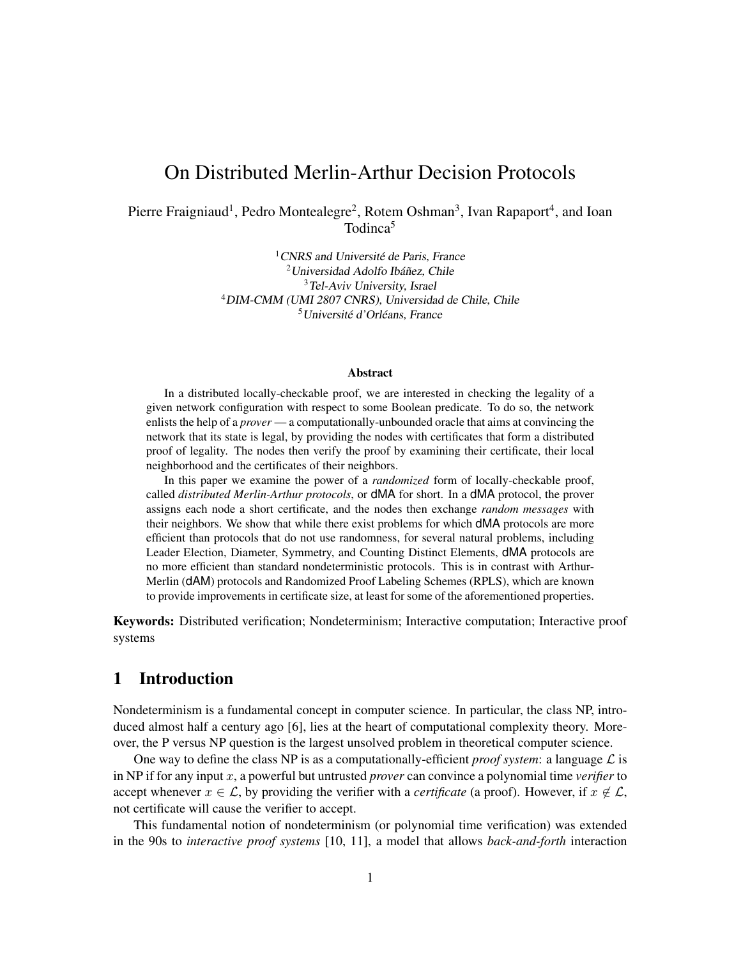# On Distributed Merlin-Arthur Decision Protocols

Pierre Fraigniaud<sup>1</sup>, Pedro Montealegre<sup>2</sup>, Rotem Oshman<sup>3</sup>, Ivan Rapaport<sup>4</sup>, and Ioan Todinca<sup>5</sup>

> $1$ CNRS and Université de Paris, France  $2$ Universidad Adolfo Ibáñez, Chile <sup>3</sup>Tel-Aviv University, Israel <sup>4</sup>DIM-CMM (UMI 2807 CNRS), Universidad de Chile, Chile  $<sup>5</sup>$ Université d'Orléans, France</sup>

#### **Abstract**

In a distributed locally-checkable proof, we are interested in checking the legality of a given network configuration with respect to some Boolean predicate. To do so, the network enlists the help of a *prover* — a computationally-unbounded oracle that aims at convincing the network that its state is legal, by providing the nodes with certificates that form a distributed proof of legality. The nodes then verify the proof by examining their certificate, their local neighborhood and the certificates of their neighbors.

In this paper we examine the power of a *randomized* form of locally-checkable proof, called *distributed Merlin-Arthur protocols*, or dMA for short. In a dMA protocol, the prover assigns each node a short certificate, and the nodes then exchange *random messages* with their neighbors. We show that while there exist problems for which dMA protocols are more efficient than protocols that do not use randomness, for several natural problems, including Leader Election, Diameter, Symmetry, and Counting Distinct Elements, dMA protocols are no more efficient than standard nondeterministic protocols. This is in contrast with Arthur-Merlin (dAM) protocols and Randomized Proof Labeling Schemes (RPLS), which are known to provide improvements in certificate size, at least for some of the aforementioned properties.

Keywords: Distributed verification; Nondeterminism; Interactive computation; Interactive proof systems

## 1 Introduction

Nondeterminism is a fundamental concept in computer science. In particular, the class NP, introduced almost half a century ago [6], lies at the heart of computational complexity theory. Moreover, the P versus NP question is the largest unsolved problem in theoretical computer science.

One way to define the class NP is as a computationally-efficient *proof system*: a language  $\mathcal{L}$  is in NP if for any input x, a powerful but untrusted *prover* can convince a polynomial time *verifier* to accept whenever  $x \in \mathcal{L}$ , by providing the verifier with a *certificate* (a proof). However, if  $x \notin \mathcal{L}$ , not certificate will cause the verifier to accept.

This fundamental notion of nondeterminism (or polynomial time verification) was extended in the 90s to *interactive proof systems* [10, 11], a model that allows *back-and-forth* interaction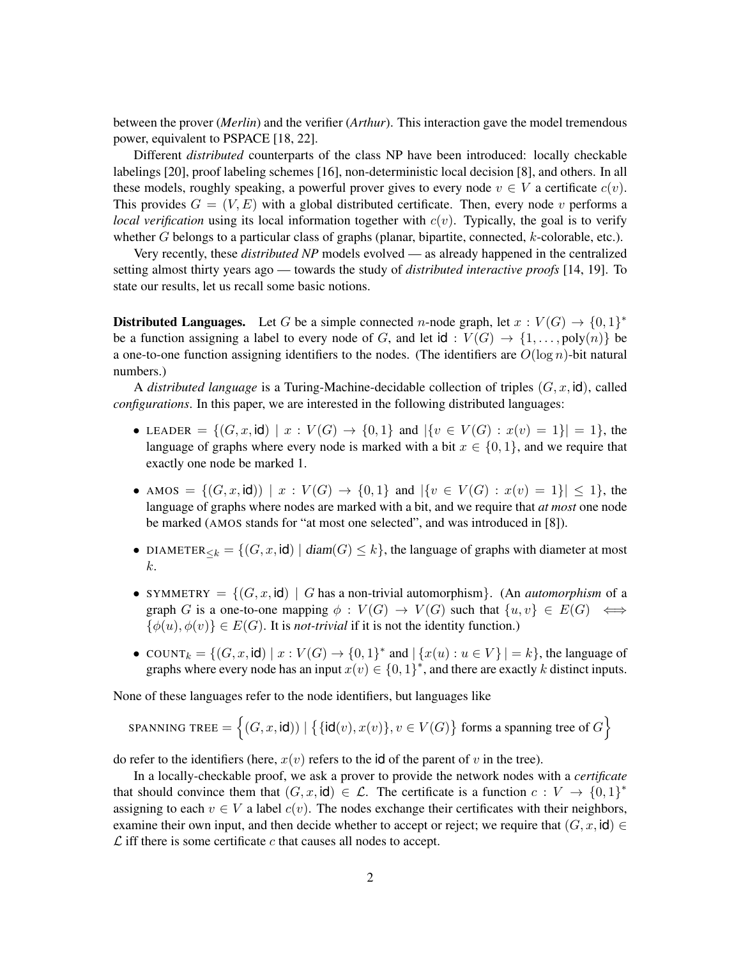between the prover (*Merlin*) and the verifier (*Arthur*). This interaction gave the model tremendous power, equivalent to PSPACE [18, 22].

Different *distributed* counterparts of the class NP have been introduced: locally checkable labelings [20], proof labeling schemes [16], non-deterministic local decision [8], and others. In all these models, roughly speaking, a powerful prover gives to every node  $v \in V$  a certificate  $c(v)$ . This provides  $G = (V, E)$  with a global distributed certificate. Then, every node v performs a *local verification* using its local information together with  $c(v)$ . Typically, the goal is to verify whether G belongs to a particular class of graphs (planar, bipartite, connected, k-colorable, etc.).

Very recently, these *distributed NP* models evolved — as already happened in the centralized setting almost thirty years ago — towards the study of *distributed interactive proofs* [14, 19]. To state our results, let us recall some basic notions.

**Distributed Languages.** Let G be a simple connected n-node graph, let  $x : V(G) \to \{0,1\}^*$ be a function assigning a label to every node of G, and let  $\mathsf{id}: V(G) \to \{1, \ldots, \mathrm{poly}(n)\}\$  be a one-to-one function assigning identifiers to the nodes. (The identifiers are  $O(\log n)$ -bit natural numbers.)

A *distributed language* is a Turing-Machine-decidable collection of triples  $(G, x, id)$ , called *configurations*. In this paper, we are interested in the following distributed languages:

- LEADER =  $\{(G, x, id) \mid x : V(G) \to \{0, 1\} \text{ and } |\{v \in V(G) : x(v) = 1\}| = 1\}$ , the language of graphs where every node is marked with a bit  $x \in \{0, 1\}$ , and we require that exactly one node be marked 1.
- AMOS =  $\{(G, x, id) \mid x : V(G) \to \{0, 1\} \text{ and } |\{v \in V(G) : x(v) = 1\}| \le 1\}$ , the language of graphs where nodes are marked with a bit, and we require that *at most* one node be marked (AMOS stands for "at most one selected", and was introduced in [8]).
- DIAMETER<sub> $\leq k$ </sub> = { $(G, x, id)$  | diam $(G) \leq k$ }, the language of graphs with diameter at most k.
- SYMMETRY =  $\{(G, x, \text{id}) \mid G \text{ has a non-trivial automorphism}\}\)$ . (An *automorphism* of a graph G is a one-to-one mapping  $\phi : V(G) \to V(G)$  such that  $\{u, v\} \in E(G) \iff$  $\{\phi(u), \phi(v)\}\in E(G)$ . It is *not-trivial* if it is not the identity function.)
- COUNT<sub>k</sub> = { $(G, x, id) | x : V(G) \to \{0, 1\}^*$  and  $| \{x(u) : u \in V\} | = k$ }, the language of graphs where every node has an input  $x(v) \in \{0,1\}^*$ , and there are exactly k distinct inputs.

None of these languages refer to the node identifiers, but languages like

SPANNING TREE = 
$$
\{(G, x, \text{id})) \mid \{\{\text{id}(v), x(v)\}, v \in V(G)\}\}
$$
 forms a spanning tree of  $G\}$ 

do refer to the identifiers (here,  $x(v)$  refers to the id of the parent of v in the tree).

In a locally-checkable proof, we ask a prover to provide the network nodes with a *certificate* that should convince them that  $(G, x, id) \in \mathcal{L}$ . The certificate is a function  $c: V \to \{0, 1\}^*$ assigning to each  $v \in V$  a label  $c(v)$ . The nodes exchange their certificates with their neighbors, examine their own input, and then decide whether to accept or reject; we require that  $(G, x, id) \in$  $\mathcal L$  iff there is some certificate c that causes all nodes to accept.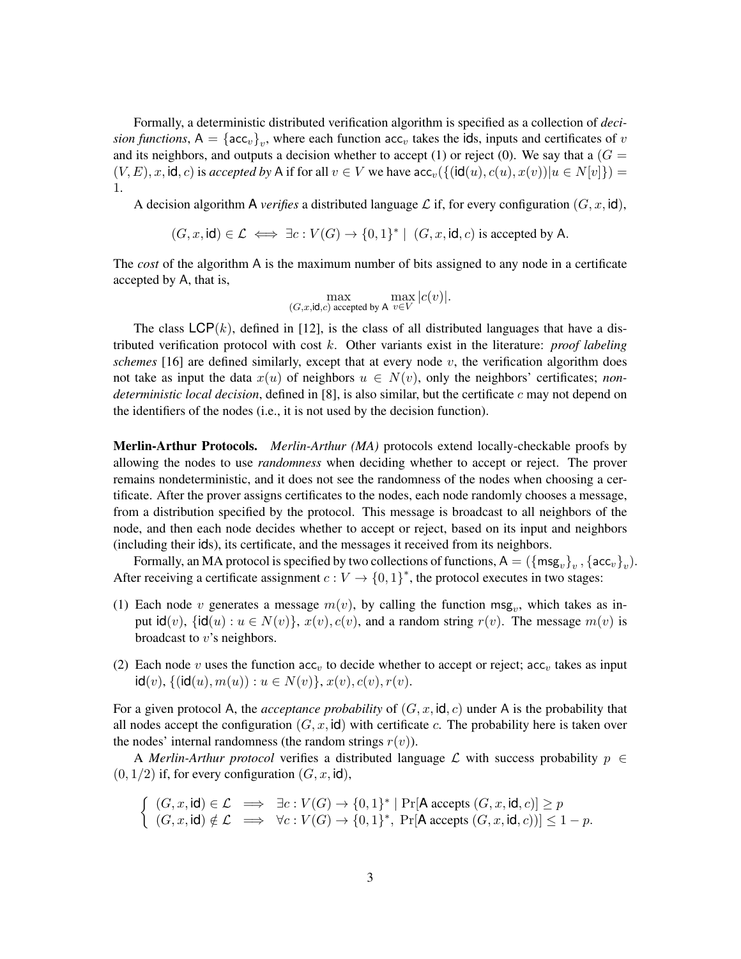Formally, a deterministic distributed verification algorithm is specified as a collection of *decision functions*,  $A = \{acc_v\}_v$ , where each function acc<sub>v</sub> takes the ids, inputs and certificates of v and its neighbors, and outputs a decision whether to accept (1) or reject (0). We say that a  $(G =$  $(V, E), x$ , id, c) is *accepted by* A if for all  $v \in V$  we have  $\text{acc}_v(\{(\text{id}(u), c(u), x(v)) | u \in N[v]\}) =$ 1.

A decision algorithm A *verifies* a distributed language  $\mathcal L$  if, for every configuration  $(G, x, id)$ ,

$$
(G, x, \text{id}) \in \mathcal{L} \iff \exists c : V(G) \to \{0, 1\}^* \mid (G, x, \text{id}, c)
$$
 is accepted by A.

The *cost* of the algorithm A is the maximum number of bits assigned to any node in a certificate accepted by A, that is,

$$
\max_{(G,x,\mathsf{id},c)\text{ accepted by }\mathsf{A}}\max_{v\in V}|c(v)|.
$$

The class  $LCP(k)$ , defined in [12], is the class of all distributed languages that have a distributed verification protocol with cost k. Other variants exist in the literature: *proof labeling schemes* [16] are defined similarly, except that at every node v, the verification algorithm does not take as input the data  $x(u)$  of neighbors  $u \in N(v)$ , only the neighbors' certificates; *nondeterministic local decision*, defined in [8], is also similar, but the certificate  $c$  may not depend on the identifiers of the nodes (i.e., it is not used by the decision function).

Merlin-Arthur Protocols. *Merlin-Arthur (MA)* protocols extend locally-checkable proofs by allowing the nodes to use *randomness* when deciding whether to accept or reject. The prover remains nondeterministic, and it does not see the randomness of the nodes when choosing a certificate. After the prover assigns certificates to the nodes, each node randomly chooses a message, from a distribution specified by the protocol. This message is broadcast to all neighbors of the node, and then each node decides whether to accept or reject, based on its input and neighbors (including their ids), its certificate, and the messages it received from its neighbors.

Formally, an MA protocol is specified by two collections of functions,  $A = (\{msg_v\}_v, \{acc_v\}_v)$ . After receiving a certificate assignment  $c: V \to \{0,1\}^*$ , the protocol executes in two stages:

- (1) Each node v generates a message  $m(v)$ , by calling the function msg<sub>v</sub>, which takes as input  $\mathsf{id}(v)$ ,  $\{\mathsf{id}(u): u \in N(v)\}\$ ,  $x(v), c(v)$ , and a random string  $r(v)$ . The message  $m(v)$  is broadcast to  $v$ 's neighbors.
- (2) Each node v uses the function  $acc_v$  to decide whether to accept or reject;  $acc_v$  takes as input  $id(v), \{ (id(u), m(u)) : u \in N(v) \}, x(v), c(v), r(v).$

For a given protocol A, the *acceptance probability* of  $(G, x, id, c)$  under A is the probability that all nodes accept the configuration  $(G, x, id)$  with certificate c. The probability here is taken over the nodes' internal randomness (the random strings  $r(v)$ ).

A *Merlin-Arthur protocol* verifies a distributed language  $\mathcal L$  with success probability  $p \in$  $(0, 1/2)$  if, for every configuration  $(G, x, \text{id})$ ,

$$
\left\{\n\begin{array}{ccc}\n(G, x, \text{id}) \in \mathcal{L} & \implies & \exists c : V(G) \to \{0, 1\}^* \mid \Pr[\text{A accepts } (G, x, \text{id}, c)] \ge p \\
(G, x, \text{id}) \notin \mathcal{L} & \implies & \forall c : V(G) \to \{0, 1\}^*, \Pr[\text{A accepts } (G, x, \text{id}, c))] \le 1 - p.\n\end{array}\n\right.
$$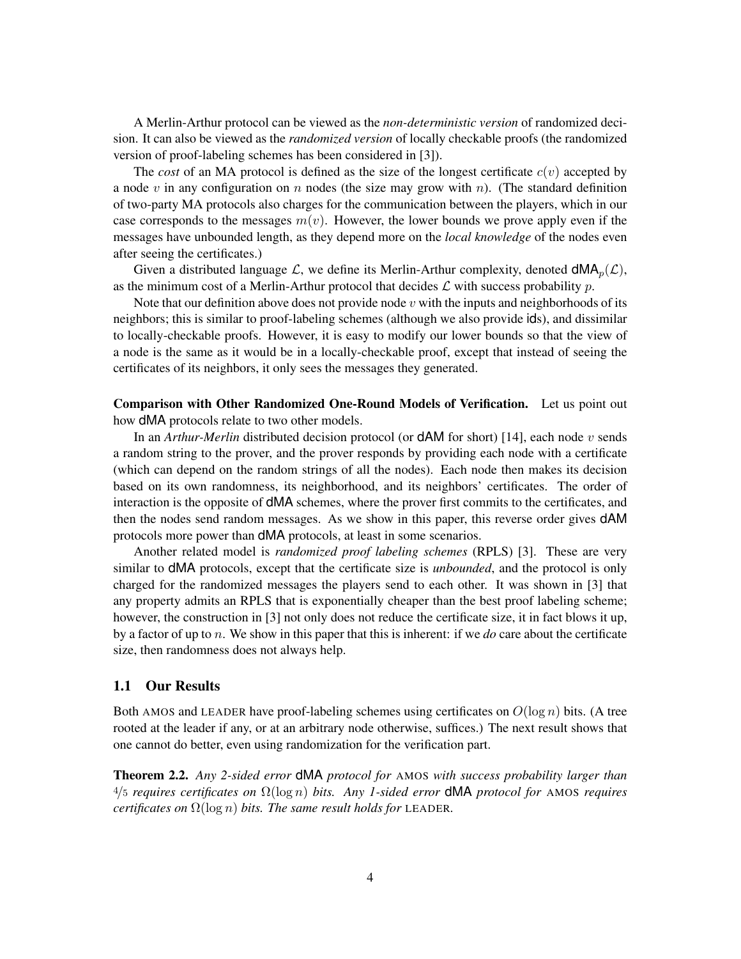A Merlin-Arthur protocol can be viewed as the *non-deterministic version* of randomized decision. It can also be viewed as the *randomized version* of locally checkable proofs (the randomized version of proof-labeling schemes has been considered in [3]).

The *cost* of an MA protocol is defined as the size of the longest certificate  $c(v)$  accepted by a node v in any configuration on n nodes (the size may grow with n). (The standard definition of two-party MA protocols also charges for the communication between the players, which in our case corresponds to the messages  $m(v)$ . However, the lower bounds we prove apply even if the messages have unbounded length, as they depend more on the *local knowledge* of the nodes even after seeing the certificates.)

Given a distributed language L, we define its Merlin-Arthur complexity, denoted  $dMA_n(\mathcal{L})$ , as the minimum cost of a Merlin-Arthur protocol that decides  $\mathcal L$  with success probability  $p$ .

Note that our definition above does not provide node  $v$  with the inputs and neighborhoods of its neighbors; this is similar to proof-labeling schemes (although we also provide ids), and dissimilar to locally-checkable proofs. However, it is easy to modify our lower bounds so that the view of a node is the same as it would be in a locally-checkable proof, except that instead of seeing the certificates of its neighbors, it only sees the messages they generated.

Comparison with Other Randomized One-Round Models of Verification. Let us point out how dMA protocols relate to two other models.

In an *Arthur-Merlin* distributed decision protocol (or dAM for short) [14], each node v sends a random string to the prover, and the prover responds by providing each node with a certificate (which can depend on the random strings of all the nodes). Each node then makes its decision based on its own randomness, its neighborhood, and its neighbors' certificates. The order of interaction is the opposite of dMA schemes, where the prover first commits to the certificates, and then the nodes send random messages. As we show in this paper, this reverse order gives dAM protocols more power than dMA protocols, at least in some scenarios.

Another related model is *randomized proof labeling schemes* (RPLS) [3]. These are very similar to dMA protocols, except that the certificate size is *unbounded*, and the protocol is only charged for the randomized messages the players send to each other. It was shown in [3] that any property admits an RPLS that is exponentially cheaper than the best proof labeling scheme; however, the construction in [3] not only does not reduce the certificate size, it in fact blows it up, by a factor of up to n. We show in this paper that this is inherent: if we *do* care about the certificate size, then randomness does not always help.

#### 1.1 Our Results

Both AMOS and LEADER have proof-labeling schemes using certificates on  $O(\log n)$  bits. (A tree rooted at the leader if any, or at an arbitrary node otherwise, suffices.) The next result shows that one cannot do better, even using randomization for the verification part.

Theorem 2.2. *Any 2-sided error* dMA *protocol for* AMOS *with success probability larger than* 4/5 *requires certificates on* Ω(log n) *bits. Any 1-sided error* dMA *protocol for* AMOS *requires certificates on*  $\Omega(\log n)$  *bits. The same result holds for* LEADER.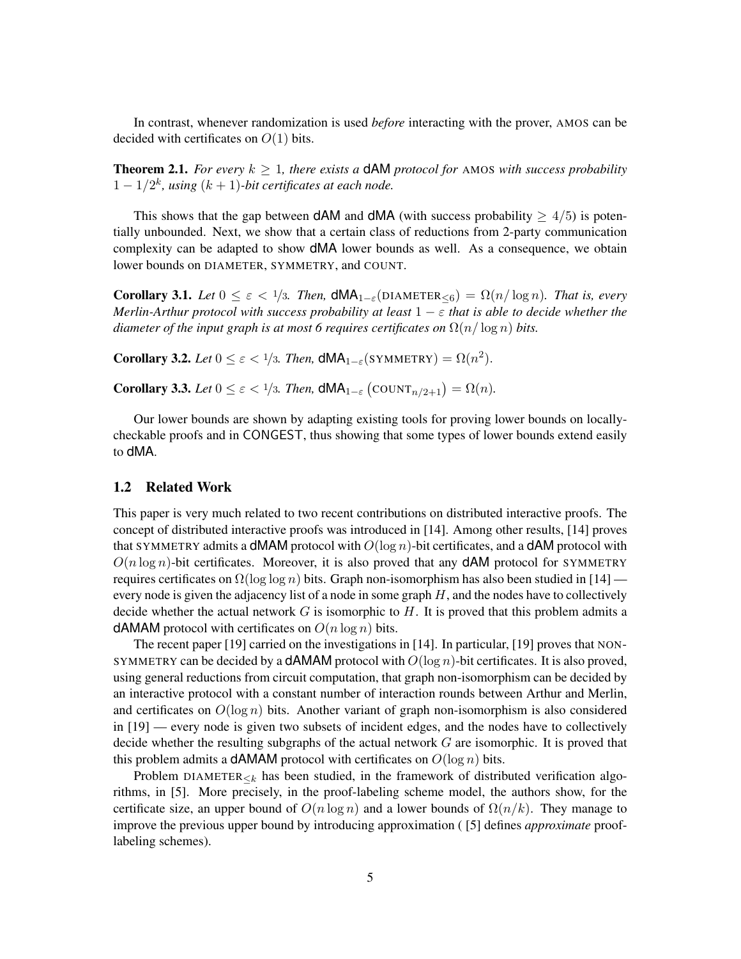In contrast, whenever randomization is used *before* interacting with the prover, AMOS can be decided with certificates on  $O(1)$  bits.

**Theorem 2.1.** *For every*  $k \geq 1$ *, there exists a* **dAM** *protocol for* AMOS *with success probability*  $1 - 1/2^k$ , using  $(k + 1)$ -bit certificates at each node.

This shows that the gap between dAM and dMA (with success probability  $> 4/5$ ) is potentially unbounded. Next, we show that a certain class of reductions from 2-party communication complexity can be adapted to show dMA lower bounds as well. As a consequence, we obtain lower bounds on DIAMETER, SYMMETRY, and COUNT.

**Corollary 3.1.** Let  $0 \leq \varepsilon < 1/3$ . Then,  $dMA_{1-\varepsilon}(DIAMETER<sub>0</sub>) = \Omega(n/\log n)$ . That is, every *Merlin-Arthur protocol with success probability at least* 1 − ε *that is able to decide whether the diameter of the input graph is at most 6 requires certificates on*  $\Omega(n/\log n)$  *bits.* 

**Corollary 3.2.** *Let*  $0 \le \varepsilon < 1/3$ *. Then,* **dMA**<sub>1- $\varepsilon$ </sub>(SYMMETRY) =  $\Omega(n^2)$ *.* 

**Corollary 3.3.** *Let*  $0 \le \varepsilon < 1/3$ *. Then,*  $dMA_{1-\varepsilon}$   $\left(\text{COUNT}_{n/2+1}\right) = \Omega(n)$ *.* 

Our lower bounds are shown by adapting existing tools for proving lower bounds on locallycheckable proofs and in CONGEST, thus showing that some types of lower bounds extend easily to dMA.

### 1.2 Related Work

This paper is very much related to two recent contributions on distributed interactive proofs. The concept of distributed interactive proofs was introduced in [14]. Among other results, [14] proves that SYMMETRY admits a dMAM protocol with  $O(\log n)$ -bit certificates, and a dAM protocol with  $O(n \log n)$ -bit certificates. Moreover, it is also proved that any **dAM** protocol for SYMMETRY requires certificates on  $\Omega(\log \log n)$  bits. Graph non-isomorphism has also been studied in [14] every node is given the adjacency list of a node in some graph  $H$ , and the nodes have to collectively decide whether the actual network  $G$  is isomorphic to  $H$ . It is proved that this problem admits a **dAMAM** protocol with certificates on  $O(n \log n)$  bits.

The recent paper [19] carried on the investigations in [14]. In particular, [19] proves that NON-SYMMETRY can be decided by a dAMAM protocol with  $O(\log n)$ -bit certificates. It is also proved, using general reductions from circuit computation, that graph non-isomorphism can be decided by an interactive protocol with a constant number of interaction rounds between Arthur and Merlin, and certificates on  $O(\log n)$  bits. Another variant of graph non-isomorphism is also considered in [19] — every node is given two subsets of incident edges, and the nodes have to collectively decide whether the resulting subgraphs of the actual network  $G$  are isomorphic. It is proved that this problem admits a **dAMAM** protocol with certificates on  $O(\log n)$  bits.

Problem DIAMETER $\lt k$  has been studied, in the framework of distributed verification algorithms, in [5]. More precisely, in the proof-labeling scheme model, the authors show, for the certificate size, an upper bound of  $O(n \log n)$  and a lower bounds of  $\Omega(n/k)$ . They manage to improve the previous upper bound by introducing approximation ( [5] defines *approximate* prooflabeling schemes).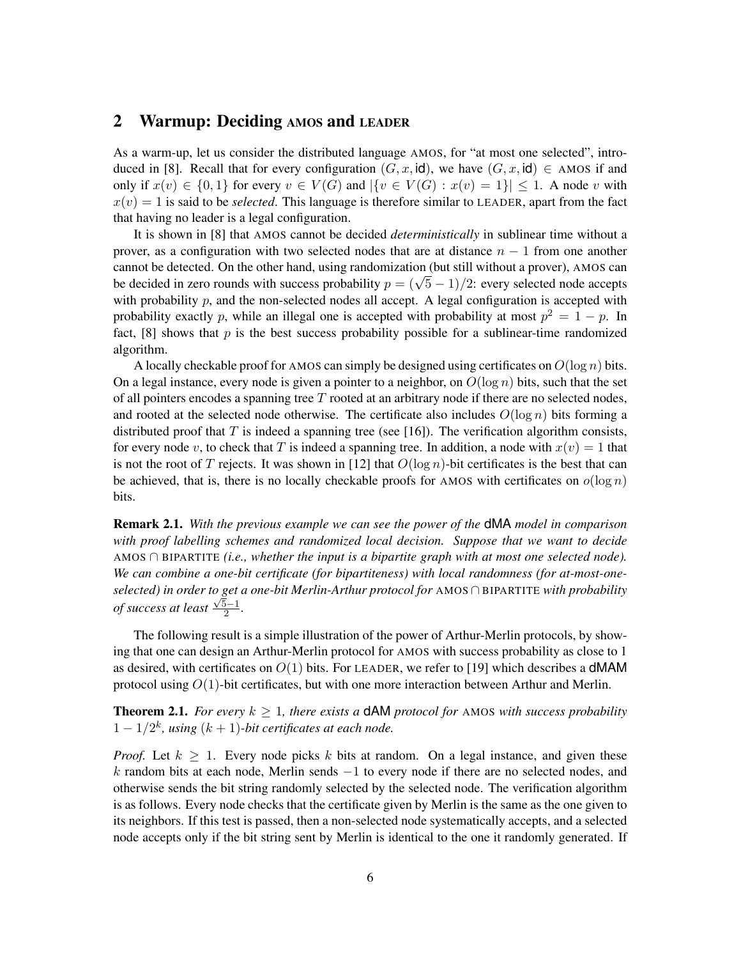### 2 Warmup: Deciding AMOS and LEADER

As a warm-up, let us consider the distributed language AMOS, for "at most one selected", introduced in [8]. Recall that for every configuration  $(G, x, id)$ , we have  $(G, x, id) \in AMOS$  if and only if  $x(v) \in \{0,1\}$  for every  $v \in V(G)$  and  $|\{v \in V(G) : x(v) = 1\}| \leq 1$ . A node v with  $x(v) = 1$  is said to be *selected*. This language is therefore similar to LEADER, apart from the fact that having no leader is a legal configuration.

It is shown in [8] that AMOS cannot be decided *deterministically* in sublinear time without a prover, as a configuration with two selected nodes that are at distance  $n - 1$  from one another cannot be detected. On the other hand, using randomization (but still without a prover), AMOS can cannot be detected. On the other hand, using randomization (but still without a prover), AMOS can<br>be decided in zero rounds with success probability  $p = (\sqrt{5} - 1)/2$ : every selected node accepts with probability  $p$ , and the non-selected nodes all accept. A legal configuration is accepted with probability exactly p, while an illegal one is accepted with probability at most  $p^2 = 1 - p$ . In fact,  $[8]$  shows that p is the best success probability possible for a sublinear-time randomized algorithm.

A locally checkable proof for AMOS can simply be designed using certificates on  $O(\log n)$  bits. On a legal instance, every node is given a pointer to a neighbor, on  $O(\log n)$  bits, such that the set of all pointers encodes a spanning tree  $T$  rooted at an arbitrary node if there are no selected nodes, and rooted at the selected node otherwise. The certificate also includes  $O(\log n)$  bits forming a distributed proof that  $T$  is indeed a spanning tree (see [16]). The verification algorithm consists, for every node v, to check that T is indeed a spanning tree. In addition, a node with  $x(v) = 1$  that is not the root of T rejects. It was shown in [12] that  $O(\log n)$ -bit certificates is the best that can be achieved, that is, there is no locally checkable proofs for AMOS with certificates on  $o(\log n)$ bits.

Remark 2.1. *With the previous example we can see the power of the* dMA *model in comparison with proof labelling schemes and randomized local decision. Suppose that we want to decide* AMOS ∩ BIPARTITE *(i.e., whether the input is a bipartite graph with at most one selected node). We can combine a one-bit certificate (for bipartiteness) with local randomness (for at-most-oneselected) in order to get a one-bit Merlin-Arthur protocol for* AMOS ∩ BIPARTITE *with probability* √ *of success at least*  $\frac{\sqrt{5}-1}{2}$  $\frac{2^{j-1}}{2}$ .

The following result is a simple illustration of the power of Arthur-Merlin protocols, by showing that one can design an Arthur-Merlin protocol for AMOS with success probability as close to 1 as desired, with certificates on  $O(1)$  bits. For LEADER, we refer to [19] which describes a dMAM protocol using  $O(1)$ -bit certificates, but with one more interaction between Arthur and Merlin.

**Theorem 2.1.** *For every*  $k \geq 1$ *, there exists a* **dAM** *protocol for* AMOS *with success probability*  $1 - 1/2^k$ , using  $(k + 1)$ -bit certificates at each node.

*Proof.* Let  $k \geq 1$ . Every node picks k bits at random. On a legal instance, and given these k random bits at each node, Merlin sends  $-1$  to every node if there are no selected nodes, and otherwise sends the bit string randomly selected by the selected node. The verification algorithm is as follows. Every node checks that the certificate given by Merlin is the same as the one given to its neighbors. If this test is passed, then a non-selected node systematically accepts, and a selected node accepts only if the bit string sent by Merlin is identical to the one it randomly generated. If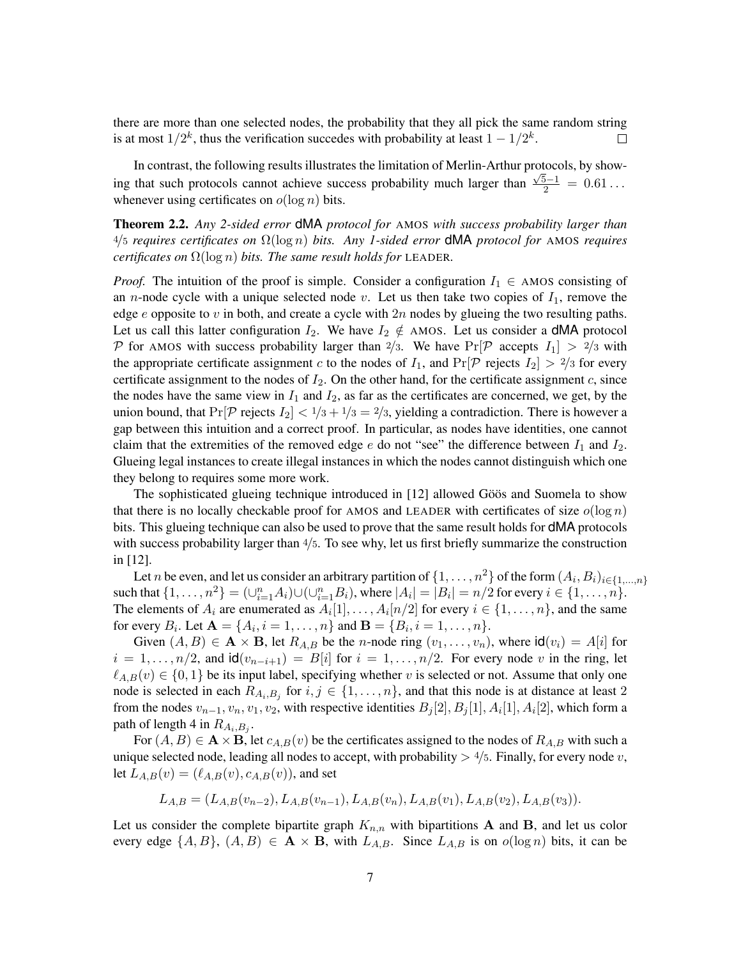there are more than one selected nodes, the probability that they all pick the same random string is at most  $1/2^k$ , thus the verification succedes with probability at least  $1 - 1/2^k$ .  $\Box$ 

In contrast, the following results illustrates the limitation of Merlin-Arthur protocols, by showing that such protocols cannot achieve success probability much larger than  $\frac{\sqrt{5}-1}{2} = 0.61...$ whenever using certificates on  $o(\log n)$  bits.

Theorem 2.2. *Any 2-sided error* dMA *protocol for* AMOS *with success probability larger than* 4/5 *requires certificates on* Ω(log n) *bits. Any 1-sided error* dMA *protocol for* AMOS *requires certificates on*  $\Omega(\log n)$  *bits. The same result holds for* LEADER.

*Proof.* The intuition of the proof is simple. Consider a configuration  $I_1 \in AMOS$  consisting of an *n*-node cycle with a unique selected node v. Let us then take two copies of  $I_1$ , remove the edge e opposite to v in both, and create a cycle with  $2n$  nodes by glueing the two resulting paths. Let us call this latter configuration  $I_2$ . We have  $I_2 \notin AMOS$ . Let us consider a dMA protocol P for AMOS with success probability larger than  $2/3$ . We have  $Pr[\mathcal{P}$  accepts  $I_1] > 2/3$  with the appropriate certificate assignment c to the nodes of  $I_1$ , and  $Pr[\mathcal{P}]$  rejects  $I_2] > 2/3$  for every certificate assignment to the nodes of  $I_2$ . On the other hand, for the certificate assignment c, since the nodes have the same view in  $I_1$  and  $I_2$ , as far as the certificates are concerned, we get, by the union bound, that  $Pr[\mathcal{P}$  rejects  $I_2] < 1/3 + 1/3 = 2/3$ , yielding a contradiction. There is however a gap between this intuition and a correct proof. In particular, as nodes have identities, one cannot claim that the extremities of the removed edge  $e$  do not "see" the difference between  $I_1$  and  $I_2$ . Glueing legal instances to create illegal instances in which the nodes cannot distinguish which one they belong to requires some more work.

The sophisticated glueing technique introduced in [12] allowed Göös and Suomela to show that there is no locally checkable proof for AMOS and LEADER with certificates of size  $o(\log n)$ bits. This glueing technique can also be used to prove that the same result holds for dMA protocols with success probability larger than  $\frac{4}{5}$ . To see why, let us first briefly summarize the construction in [12].

Let *n* be even, and let us consider an arbitrary partition of  $\{1, \ldots, n^2\}$  of the form  $(A_i, B_i)_{i \in \{1, \ldots, n\}}$ such that  $\{1, ..., n^2\} = (\cup_{i=1}^n A_i) \cup (\cup_{i=1}^n B_i)$ , where  $|A_i| = |B_i| = n/2$  for every  $i \in \{1, ..., n\}$ . The elements of  $A_i$  are enumerated as  $A_i[1], \ldots, A_i[n/2]$  for every  $i \in \{1, \ldots, n\}$ , and the same for every  $B_i$ . Let  $A = \{A_i, i = 1, ..., n\}$  and  $B = \{B_i, i = 1, ..., n\}$ .

Given  $(A, B) \in \mathbf{A} \times \mathbf{B}$ , let  $R_{A, B}$  be the *n*-node ring  $(v_1, \ldots, v_n)$ , where  $\mathsf{id}(v_i) = A[i]$  for  $i = 1, \ldots, n/2$ , and  $\text{id}(v_{n-i+1}) = B[i]$  for  $i = 1, \ldots, n/2$ . For every node v in the ring, let  $\ell_{A,B}(v) \in \{0,1\}$  be its input label, specifying whether v is selected or not. Assume that only one node is selected in each  $R_{A_i,B_j}$  for  $i, j \in \{1, \ldots, n\}$ , and that this node is at distance at least 2 from the nodes  $v_{n-1}, v_n, v_1, v_2$ , with respective identities  $B_j[2], B_j[1], A_i[1], A_i[2]$ , which form a path of length 4 in  $R_{A_i,B_j}$ .

For  $(A, B) \in \mathbf{A} \times \mathbf{B}$ , let  $c_{A,B}(v)$  be the certificates assigned to the nodes of  $R_{A,B}$  with such a unique selected node, leading all nodes to accept, with probability  $>$  4/5. Finally, for every node v, let  $L_{A,B}(v) = (\ell_{A,B}(v), c_{A,B}(v))$ , and set

$$
L_{A,B} = (L_{A,B}(v_{n-2}), L_{A,B}(v_{n-1}), L_{A,B}(v_n), L_{A,B}(v_1), L_{A,B}(v_2), L_{A,B}(v_3)).
$$

Let us consider the complete bipartite graph  $K_{n,n}$  with bipartitions **A** and **B**, and let us color every edge  $\{A, B\}$ ,  $(A, B) \in \mathbf{A} \times \mathbf{B}$ , with  $L_{A,B}$ . Since  $L_{A,B}$  is on  $o(\log n)$  bits, it can be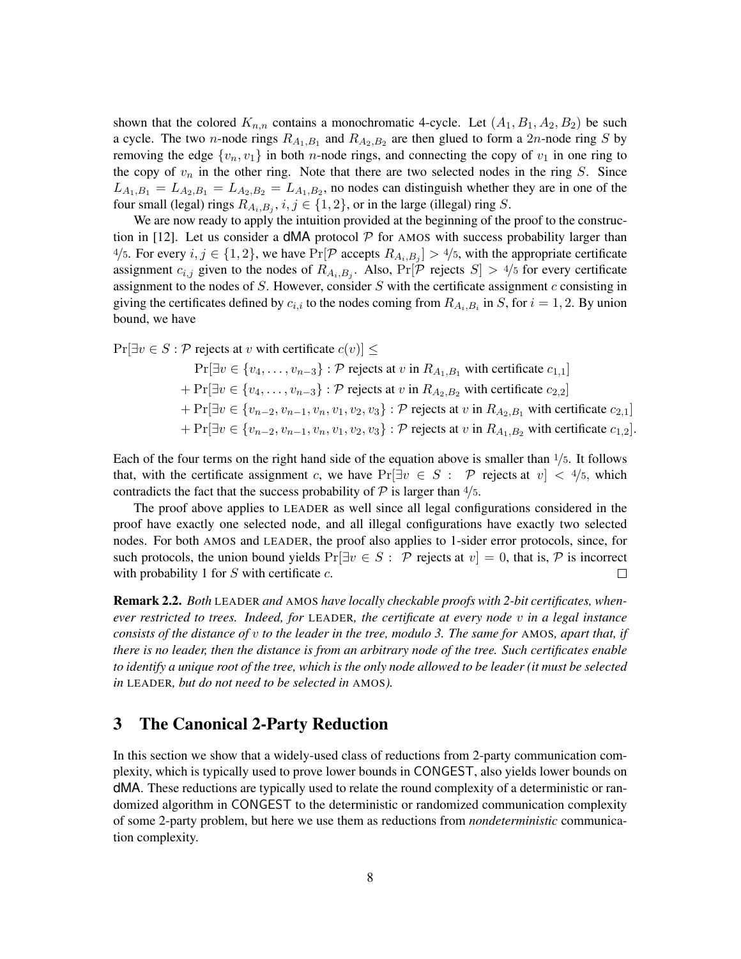shown that the colored  $K_{n,n}$  contains a monochromatic 4-cycle. Let  $(A_1, B_1, A_2, B_2)$  be such a cycle. The two *n*-node rings  $R_{A_1,B_1}$  and  $R_{A_2,B_2}$  are then glued to form a 2*n*-node ring S by removing the edge  $\{v_n, v_1\}$  in both *n*-node rings, and connecting the copy of  $v_1$  in one ring to the copy of  $v_n$  in the other ring. Note that there are two selected nodes in the ring S. Since  $L_{A_1,B_1} = L_{A_2,B_1} = L_{A_2,B_2} = L_{A_1,B_2}$ , no nodes can distinguish whether they are in one of the four small (legal) rings  $R_{A_i,B_j}$ ,  $i, j \in \{1,2\}$ , or in the large (illegal) ring S.

We are now ready to apply the intuition provided at the beginning of the proof to the construction in [12]. Let us consider a dMA protocol  $P$  for AMOS with success probability larger than 4/5. For every  $i, j \in \{1, 2\}$ , we have  $Pr[\mathcal{P}$  accepts  $R_{A_i, B_j}] > 4/5$ , with the appropriate certificate assignment  $c_{i,j}$  given to the nodes of  $R_{A_i,B_j}$ . Also,  $Pr[\mathcal{P}$  rejects  $S] > 4/5$  for every certificate assignment to the nodes of S. However, consider S with the certificate assignment c consisting in giving the certificates defined by  $c_{i,i}$  to the nodes coming from  $R_{A_i,B_i}$  in S, for  $i = 1,2$ . By union bound, we have

 $Pr[\exists v \in S : P \text{ rejects at } v \text{ with certificate } c(v)] \leq$ 

$$
\Pr[\exists v \in \{v_4, \ldots, v_{n-3}\} : \mathcal{P} \text{ rejects at } v \text{ in } R_{A_1, B_1} \text{ with certificate } c_{1,1}] \\
+ \Pr[\exists v \in \{v_4, \ldots, v_{n-3}\} : \mathcal{P} \text{ rejects at } v \text{ in } R_{A_2, B_2} \text{ with certificate } c_{2,2}] \\
+ \Pr[\exists v \in \{v_{n-2}, v_{n-1}, v_n, v_1, v_2, v_3\} : \mathcal{P} \text{ rejects at } v \text{ in } R_{A_2, B_1} \text{ with certificate } c_{2,1}] \\
+ \Pr[\exists v \in \{v_{n-2}, v_{n-1}, v_n, v_1, v_2, v_3\} : \mathcal{P} \text{ rejects at } v \text{ in } R_{A_1, B_2} \text{ with certificate } c_{1,2}].
$$

Each of the four terms on the right hand side of the equation above is smaller than  $1/5$ . It follows that, with the certificate assignment c, we have  $Pr[\exists v \in S : P \text{ rejects at } v] < 4/5$ , which contradicts the fact that the success probability of  $\mathcal P$  is larger than  $\frac{4}{5}$ .

The proof above applies to LEADER as well since all legal configurations considered in the proof have exactly one selected node, and all illegal configurations have exactly two selected nodes. For both AMOS and LEADER, the proof also applies to 1-sider error protocols, since, for such protocols, the union bound yields  $Pr[\exists v \in S : P]$  rejects at  $v] = 0$ , that is, P is incorrect with probability 1 for  $S$  with certificate  $c$ .  $\Box$ 

Remark 2.2. *Both* LEADER *and* AMOS *have locally checkable proofs with 2-bit certificates, whenever restricted to trees. Indeed, for* LEADER*, the certificate at every node* v *in a legal instance consists of the distance of* v *to the leader in the tree, modulo 3. The same for* AMOS*, apart that, if there is no leader, then the distance is from an arbitrary node of the tree. Such certificates enable to identify a unique root of the tree, which is the only node allowed to be leader (it must be selected in* LEADER*, but do not need to be selected in* AMOS*).*

## 3 The Canonical 2-Party Reduction

In this section we show that a widely-used class of reductions from 2-party communication complexity, which is typically used to prove lower bounds in CONGEST, also yields lower bounds on dMA. These reductions are typically used to relate the round complexity of a deterministic or randomized algorithm in CONGEST to the deterministic or randomized communication complexity of some 2-party problem, but here we use them as reductions from *nondeterministic* communication complexity.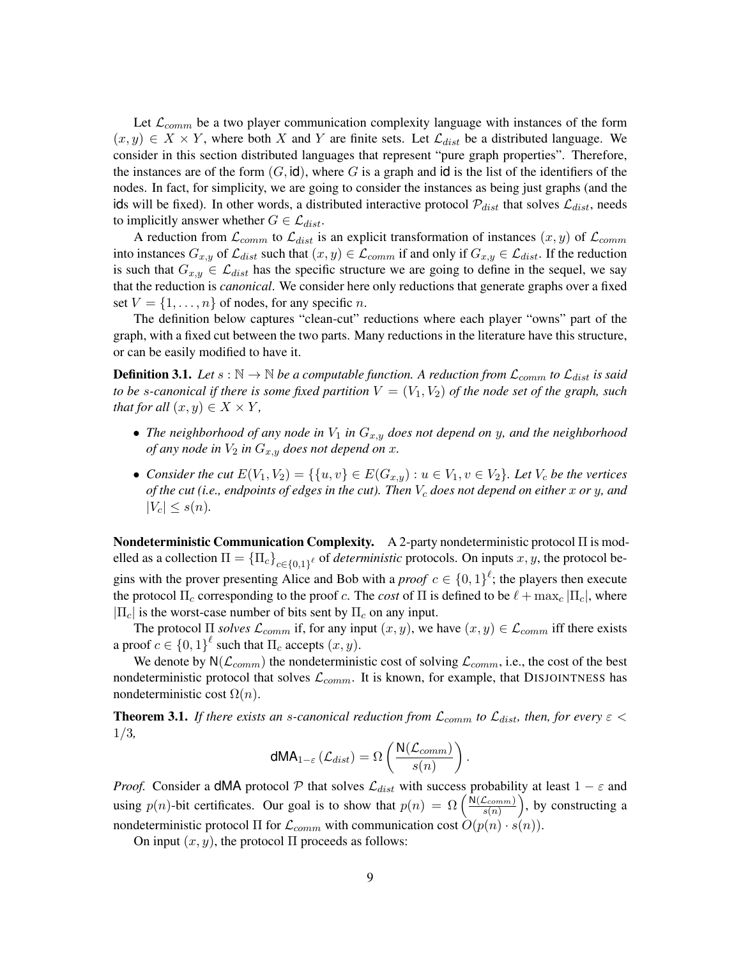Let  $\mathcal{L}_{comm}$  be a two player communication complexity language with instances of the form  $(x, y) \in X \times Y$ , where both X and Y are finite sets. Let  $\mathcal{L}_{dist}$  be a distributed language. We consider in this section distributed languages that represent "pure graph properties". Therefore, the instances are of the form  $(G, id)$ , where G is a graph and id is the list of the identifiers of the nodes. In fact, for simplicity, we are going to consider the instances as being just graphs (and the ids will be fixed). In other words, a distributed interactive protocol  $\mathcal{P}_{dist}$  that solves  $\mathcal{L}_{dist}$ , needs to implicitly answer whether  $G \in \mathcal{L}_{dist}$ .

A reduction from  $\mathcal{L}_{comm}$  to  $\mathcal{L}_{dist}$  is an explicit transformation of instances  $(x, y)$  of  $\mathcal{L}_{comm}$ into instances  $G_{x,y}$  of  $\mathcal{L}_{dist}$  such that  $(x, y) \in \mathcal{L}_{comm}$  if and only if  $G_{x,y} \in \mathcal{L}_{dist}$ . If the reduction is such that  $G_{x,y} \in \mathcal{L}_{dist}$  has the specific structure we are going to define in the sequel, we say that the reduction is *canonical*. We consider here only reductions that generate graphs over a fixed set  $V = \{1, \ldots, n\}$  of nodes, for any specific *n*.

The definition below captures "clean-cut" reductions where each player "owns" part of the graph, with a fixed cut between the two parts. Many reductions in the literature have this structure, or can be easily modified to have it.

**Definition 3.1.** Let  $s : \mathbb{N} \to \mathbb{N}$  be a computable function. A reduction from  $\mathcal{L}_{comm}$  to  $\mathcal{L}_{dist}$  is said *to be s-canonical if there is some fixed partition*  $V = (V_1, V_2)$  *of the node set of the graph, such that for all*  $(x, y) \in X \times Y$ ,

- *The neighborhood of any node in*  $V_1$  *in*  $G_{x,y}$  *does not depend on y, and the neighborhood of any node in*  $V_2$  *in*  $G_{x,y}$  *does not depend on* x.
- *Consider the cut*  $E(V_1, V_2) = \{ \{u, v\} \in E(G_{x,y}) : u \in V_1, v \in V_2 \}$ *. Let*  $V_c$  *be the vertices of the cut (i.e., endpoints of edges in the cut). Then* V<sup>c</sup> *does not depend on either* x *or* y*, and*  $|V_c| \leq s(n)$ .

**Nondeterministic Communication Complexity.** A 2-party nondeterministic protocol  $\Pi$  is modelled as a collection  $\Pi = {\{\Pi_c\}}_{c \in \{0,1\}^{\ell}}$  of *deterministic* protocols. On inputs x, y, the protocol begins with the prover presenting Alice and Bob with a *proof*  $c \in \{0,1\}^{\ell}$ ; the players then execute the protocol  $\Pi_c$  corresponding to the proof c. The cost of  $\Pi$  is defined to be  $\ell + \max_c |\Pi_c|$ , where  $|\Pi_c|$  is the worst-case number of bits sent by  $\Pi_c$  on any input.

The protocol  $\Pi$  *solves*  $\mathcal{L}_{comm}$  if, for any input  $(x, y)$ , we have  $(x, y) \in \mathcal{L}_{comm}$  iff there exists a proof  $c \in \{0,1\}^{\ell}$  such that  $\Pi_c$  accepts  $(x, y)$ .

We denote by  $N(\mathcal{L}_{comm})$  the nondeterministic cost of solving  $\mathcal{L}_{comm}$ , i.e., the cost of the best nondeterministic protocol that solves  $\mathcal{L}_{comm}$ . It is known, for example, that DISJOINTNESS has nondeterministic cost  $\Omega(n)$ .

**Theorem 3.1.** *If there exists an s-canonical reduction from*  $\mathcal{L}_{comm}$  *to*  $\mathcal{L}_{dist}$ *, then, for every*  $\varepsilon$  < 1/3*,*

$$
\mathsf{dMA}_{1-\varepsilon}\left(\mathcal{L}_{dist}\right) = \Omega\left(\frac{\mathsf{N}(\mathcal{L}_{comm})}{s(n)}\right).
$$

*Proof.* Consider a dMA protocol P that solves  $\mathcal{L}_{dist}$  with success probability at least  $1 - \varepsilon$  and using  $p(n)$ -bit certificates. Our goal is to show that  $p(n) = \Omega\left(\frac{N(\mathcal{L}_{comm})}{s(n)}\right)$  $\left(\frac{\mathcal{L}_{comm}}{s(n)}\right)$ , by constructing a nondeterministic protocol Π for  $\mathcal{L}_{comm}$  with communication cost  $\tilde{O}(p(n) \cdot s(n))$ .

On input  $(x, y)$ , the protocol  $\Pi$  proceeds as follows: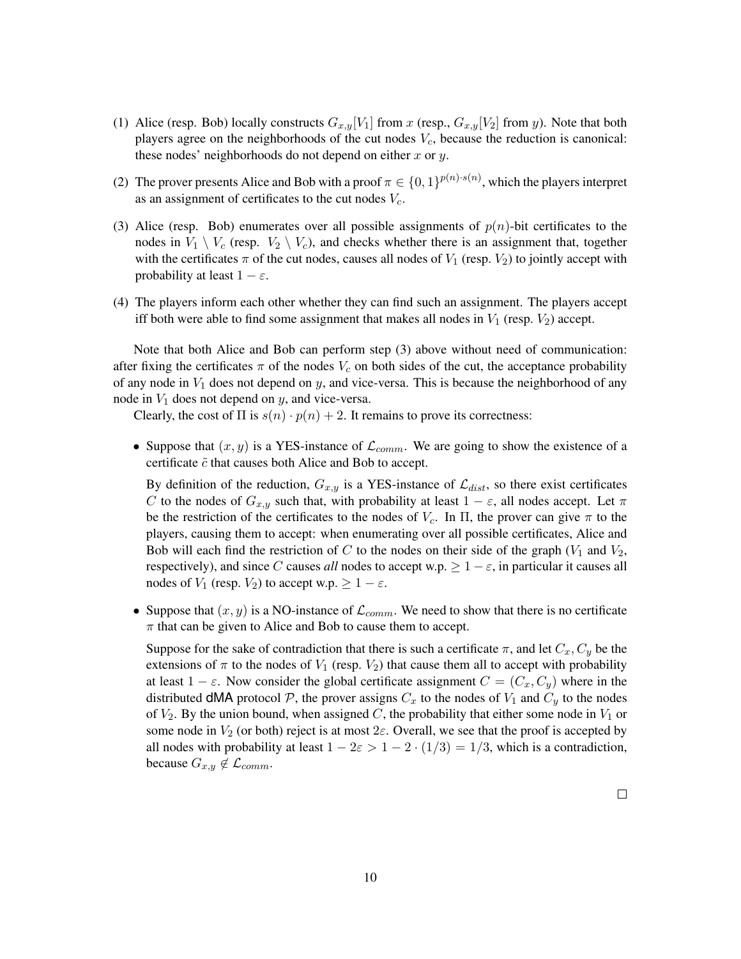- (1) Alice (resp. Bob) locally constructs  $G_{x,y}[V_1]$  from x (resp.,  $G_{x,y}[V_2]$  from y). Note that both players agree on the neighborhoods of the cut nodes  $V_c$ , because the reduction is canonical: these nodes' neighborhoods do not depend on either  $x$  or  $y$ .
- (2) The prover presents Alice and Bob with a proof  $\pi \in \{0,1\}^{p(n)\cdot s(n)}$ , which the players interpret as an assignment of certificates to the cut nodes  $V_c$ .
- (3) Alice (resp. Bob) enumerates over all possible assignments of  $p(n)$ -bit certificates to the nodes in  $V_1 \setminus V_c$  (resp.  $V_2 \setminus V_c$ ), and checks whether there is an assignment that, together with the certificates  $\pi$  of the cut nodes, causes all nodes of  $V_1$  (resp.  $V_2$ ) to jointly accept with probability at least  $1 - \varepsilon$ .
- (4) The players inform each other whether they can find such an assignment. The players accept iff both were able to find some assignment that makes all nodes in  $V_1$  (resp.  $V_2$ ) accept.

Note that both Alice and Bob can perform step (3) above without need of communication: after fixing the certificates  $\pi$  of the nodes  $V_c$  on both sides of the cut, the acceptance probability of any node in  $V_1$  does not depend on y, and vice-versa. This is because the neighborhood of any node in  $V_1$  does not depend on y, and vice-versa.

Clearly, the cost of  $\Pi$  is  $s(n) \cdot p(n) + 2$ . It remains to prove its correctness:

• Suppose that  $(x, y)$  is a YES-instance of  $\mathcal{L}_{comm}$ . We are going to show the existence of a certificate  $\tilde{c}$  that causes both Alice and Bob to accept.

By definition of the reduction,  $G_{x,y}$  is a YES-instance of  $\mathcal{L}_{dist}$ , so there exist certificates C to the nodes of  $G_{x,y}$  such that, with probability at least  $1 - \varepsilon$ , all nodes accept. Let  $\pi$ be the restriction of the certificates to the nodes of  $V_c$ . In  $\Pi$ , the prover can give  $\pi$  to the players, causing them to accept: when enumerating over all possible certificates, Alice and Bob will each find the restriction of C to the nodes on their side of the graph  $(V_1$  and  $V_2$ , respectively), and since C causes *all* nodes to accept w.p.  $\geq 1 - \varepsilon$ , in particular it causes all nodes of  $V_1$  (resp.  $V_2$ ) to accept w.p.  $\geq 1 - \varepsilon$ .

• Suppose that  $(x, y)$  is a NO-instance of  $\mathcal{L}_{comm}$ . We need to show that there is no certificate  $\pi$  that can be given to Alice and Bob to cause them to accept.

Suppose for the sake of contradiction that there is such a certificate  $\pi$ , and let  $C_x$ ,  $C_y$  be the extensions of  $\pi$  to the nodes of  $V_1$  (resp.  $V_2$ ) that cause them all to accept with probability at least  $1 - \varepsilon$ . Now consider the global certificate assignment  $C = (C_x, C_y)$  where in the distributed dMA protocol P, the prover assigns  $C_x$  to the nodes of  $V_1$  and  $C_y$  to the nodes of  $V_2$ . By the union bound, when assigned C, the probability that either some node in  $V_1$  or some node in  $V_2$  (or both) reject is at most  $2\varepsilon$ . Overall, we see that the proof is accepted by all nodes with probability at least  $1 - 2\varepsilon > 1 - 2 \cdot (1/3) = 1/3$ , which is a contradiction, because  $G_{x,y} \notin \mathcal{L}_{comm}$ .

 $\Box$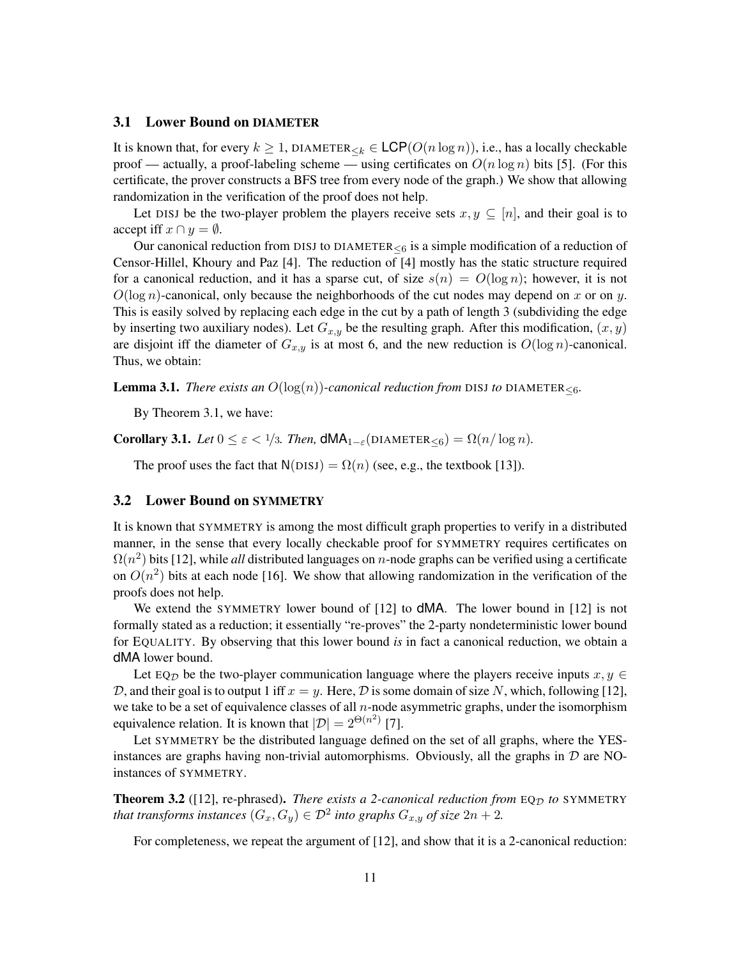#### 3.1 Lower Bound on DIAMETER

It is known that, for every  $k \geq 1$ , DIAMETER $\lt k \in \text{LCP}(O(n \log n))$ , i.e., has a locally checkable proof — actually, a proof-labeling scheme — using certificates on  $O(n \log n)$  bits [5]. (For this certificate, the prover constructs a BFS tree from every node of the graph.) We show that allowing randomization in the verification of the proof does not help.

Let DISJ be the two-player problem the players receive sets  $x, y \subseteq [n]$ , and their goal is to accept iff  $x \cap y = \emptyset$ .

Our canonical reduction from DISJ to DIAMETER $\lt_{6}$  is a simple modification of a reduction of Censor-Hillel, Khoury and Paz [4]. The reduction of [4] mostly has the static structure required for a canonical reduction, and it has a sparse cut, of size  $s(n) = O(\log n)$ ; however, it is not  $O(\log n)$ -canonical, only because the neighborhoods of the cut nodes may depend on x or on y. This is easily solved by replacing each edge in the cut by a path of length 3 (subdividing the edge by inserting two auxiliary nodes). Let  $G_{x,y}$  be the resulting graph. After this modification,  $(x, y)$ are disjoint iff the diameter of  $G_{x,y}$  is at most 6, and the new reduction is  $O(\log n)$ -canonical. Thus, we obtain:

**Lemma 3.1.** *There exists an*  $O(\log(n))$ *-canonical reduction from* DISJ *to* DIAMETER<6*.* 

By Theorem 3.1, we have:

**Corollary 3.1.** *Let*  $0 \le \varepsilon < 1/3$ *. Then,*  $dMA_{1-\varepsilon}(DIAMETER<sub>0</sub>) = \Omega(n/\log n)$ *.* 

The proof uses the fact that  $N(DISJ) = \Omega(n)$  (see, e.g., the textbook [13]).

#### 3.2 Lower Bound on SYMMETRY

It is known that SYMMETRY is among the most difficult graph properties to verify in a distributed manner, in the sense that every locally checkable proof for SYMMETRY requires certificates on  $\Omega(n^2)$  bits [12], while *all* distributed languages on *n*-node graphs can be verified using a certificate on  $O(n^2)$  bits at each node [16]. We show that allowing randomization in the verification of the proofs does not help.

We extend the SYMMETRY lower bound of [12] to dMA. The lower bound in [12] is not formally stated as a reduction; it essentially "re-proves" the 2-party nondeterministic lower bound for EQUALITY. By observing that this lower bound *is* in fact a canonical reduction, we obtain a dMA lower bound.

Let EQ<sub>D</sub> be the two-player communication language where the players receive inputs  $x, y \in$ D, and their goal is to output 1 iff  $x = y$ . Here, D is some domain of size N, which, following [12], we take to be a set of equivalence classes of all  $n$ -node asymmetric graphs, under the isomorphism equivalence relation. It is known that  $|\mathcal{D}| = 2^{\Theta(n^2)}$  [7].

Let SYMMETRY be the distributed language defined on the set of all graphs, where the YESinstances are graphs having non-trivial automorphisms. Obviously, all the graphs in  $\mathcal D$  are NOinstances of SYMMETRY.

**Theorem 3.2** ([12], re-phrased). *There exists a 2-canonical reduction from*  $EQ_D$  *to* SYMMETRY  $t$ hat transforms instances  $(G_x,G_y)\in\mathcal{D}^2$  into graphs  $G_{x,y}$  of size  $2n+2.$ 

For completeness, we repeat the argument of [12], and show that it is a 2-canonical reduction: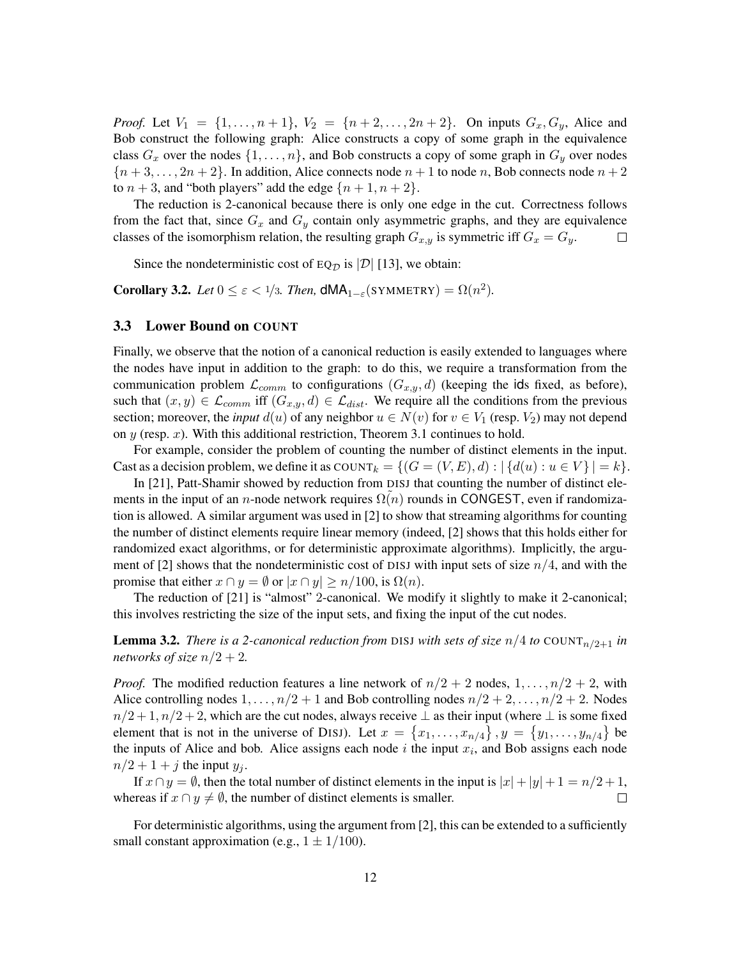*Proof.* Let  $V_1 = \{1, ..., n+1\}$ ,  $V_2 = \{n+2, ..., 2n+2\}$ . On inputs  $G_x, G_y$ , Alice and Bob construct the following graph: Alice constructs a copy of some graph in the equivalence class  $G_x$  over the nodes  $\{1, \ldots, n\}$ , and Bob constructs a copy of some graph in  $G_y$  over nodes  ${n + 3, ..., 2n + 2}$ . In addition, Alice connects node  $n + 1$  to node n, Bob connects node  $n + 2$ to  $n + 3$ , and "both players" add the edge  $\{n + 1, n + 2\}$ .

The reduction is 2-canonical because there is only one edge in the cut. Correctness follows from the fact that, since  $G_x$  and  $G_y$  contain only asymmetric graphs, and they are equivalence classes of the isomorphism relation, the resulting graph  $G_{x,y}$  is symmetric iff  $G_x = G_y$ .  $\Box$ 

Since the nondeterministic cost of EQ<sub>D</sub> is  $|\mathcal{D}|$  [13], we obtain:

**Corollary 3.2.** *Let*  $0 \le \varepsilon < 1/3$ *. Then,*  $dMA_{1-\varepsilon}(SYMMETRY) = \Omega(n^2)$ *.* 

#### 3.3 Lower Bound on COUNT

Finally, we observe that the notion of a canonical reduction is easily extended to languages where the nodes have input in addition to the graph: to do this, we require a transformation from the communication problem  $\mathcal{L}_{comm}$  to configurations  $(G_{x,y}, d)$  (keeping the ids fixed, as before), such that  $(x, y) \in \mathcal{L}_{comm}$  iff  $(G_{x,y}, d) \in \mathcal{L}_{dist}$ . We require all the conditions from the previous section; moreover, the *input*  $d(u)$  of any neighbor  $u \in N(v)$  for  $v \in V_1$  (resp.  $V_2$ ) may not depend on  $y$  (resp.  $x$ ). With this additional restriction, Theorem 3.1 continues to hold.

For example, consider the problem of counting the number of distinct elements in the input. Cast as a decision problem, we define it as  $\text{COUNT}_k = \{(G = (V, E), d) : |\{d(u) : u \in V\}| = k\}.$ 

In [21], Patt-Shamir showed by reduction from DISJ that counting the number of distinct elements in the input of an *n*-node network requires  $\Omega(n)$  rounds in CONGEST, even if randomization is allowed. A similar argument was used in [2] to show that streaming algorithms for counting the number of distinct elements require linear memory (indeed, [2] shows that this holds either for randomized exact algorithms, or for deterministic approximate algorithms). Implicitly, the argument of [2] shows that the nondeterministic cost of DISJ with input sets of size  $n/4$ , and with the promise that either  $x \cap y = \emptyset$  or  $|x \cap y| \ge n/100$ , is  $\Omega(n)$ .

The reduction of [21] is "almost" 2-canonical. We modify it slightly to make it 2-canonical; this involves restricting the size of the input sets, and fixing the input of the cut nodes.

**Lemma 3.2.** *There is a 2-canonical reduction from DISJ with sets of size*  $n/4$  *to* COUNT<sub>n/2+1</sub> *in networks of size*  $n/2 + 2$ *.* 

*Proof.* The modified reduction features a line network of  $n/2 + 2$  nodes,  $1, \ldots, n/2 + 2$ , with Alice controlling nodes  $1, \ldots, n/2 + 1$  and Bob controlling nodes  $n/2 + 2, \ldots, n/2 + 2$ . Nodes  $n/2+1$ ,  $n/2+2$ , which are the cut nodes, always receive  $\perp$  as their input (where  $\perp$  is some fixed element that is not in the universe of DISJ). Let  $x = \{x_1, \ldots, x_{n/4}\}, y = \{y_1, \ldots, y_{n/4}\}$  be the inputs of Alice and bob. Alice assigns each node  $i$  the input  $x_i$ , and Bob assigns each node  $n/2+1+j$  the input  $y_i$ .

If  $x \cap y = \emptyset$ , then the total number of distinct elements in the input is  $|x| + |y| + 1 = n/2 + 1$ , whereas if  $x \cap y \neq \emptyset$ , the number of distinct elements is smaller.  $\Box$ 

For deterministic algorithms, using the argument from [2], this can be extended to a sufficiently small constant approximation (e.g.,  $1 \pm 1/100$ ).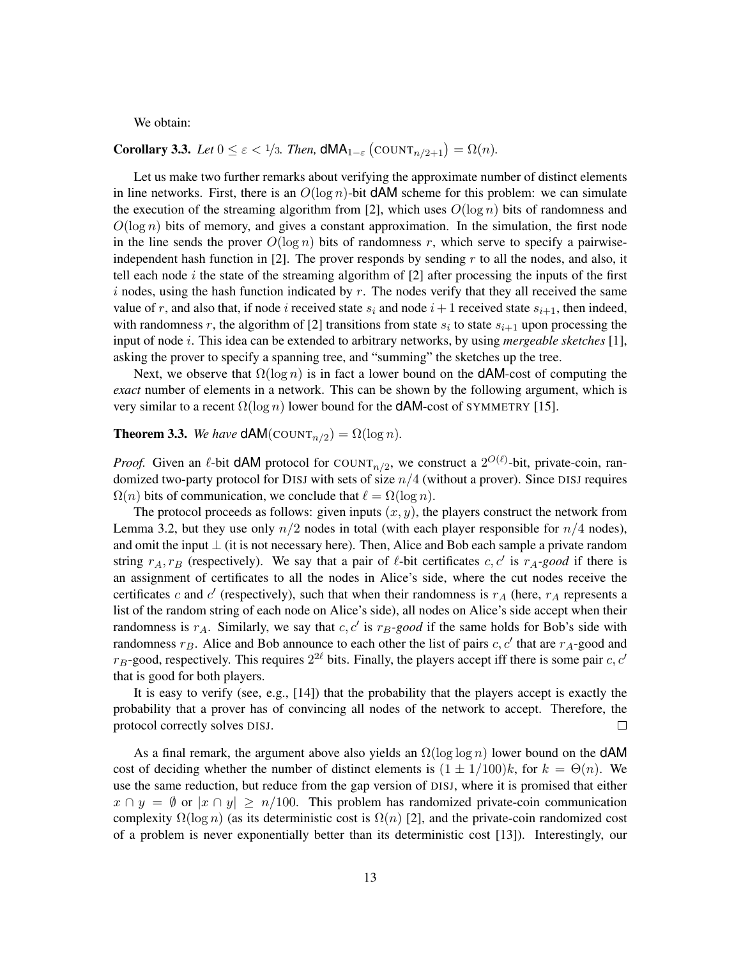We obtain:

## **Corollary 3.3.** Let  $0 \le \varepsilon < 1/3$ . Then,  $dMA_{1-\varepsilon}(\text{COUNT}_{n/2+1}) = \Omega(n)$ .

Let us make two further remarks about verifying the approximate number of distinct elements in line networks. First, there is an  $O(\log n)$ -bit **dAM** scheme for this problem: we can simulate the execution of the streaming algorithm from [2], which uses  $O(\log n)$  bits of randomness and  $O(\log n)$  bits of memory, and gives a constant approximation. In the simulation, the first node in the line sends the prover  $O(\log n)$  bits of randomness r, which serve to specify a pairwiseindependent hash function in [2]. The prover responds by sending  $r$  to all the nodes, and also, it tell each node  $i$  the state of the streaming algorithm of [2] after processing the inputs of the first i nodes, using the hash function indicated by  $r$ . The nodes verify that they all received the same value of r, and also that, if node i received state  $s_i$  and node  $i+1$  received state  $s_{i+1}$ , then indeed, with randomness r, the algorithm of [2] transitions from state  $s_i$  to state  $s_{i+1}$  upon processing the input of node i. This idea can be extended to arbitrary networks, by using *mergeable sketches* [1], asking the prover to specify a spanning tree, and "summing" the sketches up the tree.

Next, we observe that  $\Omega(\log n)$  is in fact a lower bound on the **dAM**-cost of computing the *exact* number of elements in a network. This can be shown by the following argument, which is very similar to a recent  $\Omega(\log n)$  lower bound for the **dAM**-cost of SYMMETRY [15].

**Theorem 3.3.** We have **dAM**( $\text{COUNT}_{n/2}$ ) =  $\Omega(\log n)$ .

*Proof.* Given an  $\ell$ -bit dAM protocol for COUNT<sub>n/2</sub>, we construct a  $2^{O(\ell)}$ -bit, private-coin, randomized two-party protocol for DISJ with sets of size  $n/4$  (without a prover). Since DISJ requires  $\Omega(n)$  bits of communication, we conclude that  $\ell = \Omega(\log n)$ .

The protocol proceeds as follows: given inputs  $(x, y)$ , the players construct the network from Lemma 3.2, but they use only  $n/2$  nodes in total (with each player responsible for  $n/4$  nodes), and omit the input  $\perp$  (it is not necessary here). Then, Alice and Bob each sample a private random string  $r_A, r_B$  (respectively). We say that a pair of  $\ell$ -bit certificates c, c' is  $r_A$ -good if there is an assignment of certificates to all the nodes in Alice's side, where the cut nodes receive the certificates c and c' (respectively), such that when their randomness is  $r_A$  (here,  $r_A$  represents a list of the random string of each node on Alice's side), all nodes on Alice's side accept when their randomness is  $r_A$ . Similarly, we say that  $c, c'$  is  $r_B$ -good if the same holds for Bob's side with randomness  $r_B$ . Alice and Bob announce to each other the list of pairs  $c, c'$  that are  $r_A$ -good and  $r_B$ -good, respectively. This requires  $2^{2\ell}$  bits. Finally, the players accept iff there is some pair  $c, c'$ that is good for both players.

It is easy to verify (see, e.g., [14]) that the probability that the players accept is exactly the probability that a prover has of convincing all nodes of the network to accept. Therefore, the protocol correctly solves DISJ.  $\Box$ 

As a final remark, the argument above also yields an  $\Omega(\log \log n)$  lower bound on the dAM cost of deciding whether the number of distinct elements is  $(1 \pm 1/100)k$ , for  $k = \Theta(n)$ . We use the same reduction, but reduce from the gap version of DISJ, where it is promised that either  $x \cap y = \emptyset$  or  $|x \cap y| \ge n/100$ . This problem has randomized private-coin communication complexity  $\Omega(\log n)$  (as its deterministic cost is  $\Omega(n)$  [2], and the private-coin randomized cost of a problem is never exponentially better than its deterministic cost [13]). Interestingly, our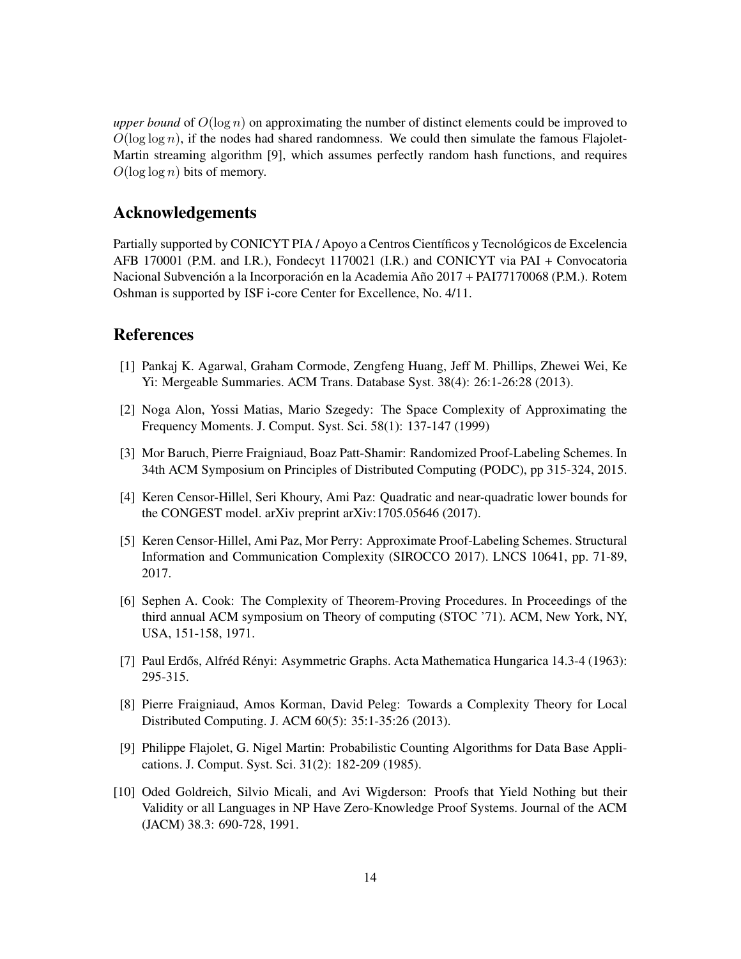*upper bound* of  $O(\log n)$  on approximating the number of distinct elements could be improved to  $O(\log \log n)$ , if the nodes had shared randomness. We could then simulate the famous Flajolet-Martin streaming algorithm [9], which assumes perfectly random hash functions, and requires  $O(\log \log n)$  bits of memory.

## Acknowledgements

Partially supported by CONICYT PIA / Apoyo a Centros Científicos y Tecnológicos de Excelencia AFB 170001 (P.M. and I.R.), Fondecyt 1170021 (I.R.) and CONICYT via PAI + Convocatoria Nacional Subvención a la Incorporación en la Academia Año 2017 + PAI77170068 (P.M.). Rotem Oshman is supported by ISF i-core Center for Excellence, No. 4/11.

### References

- [1] Pankaj K. Agarwal, Graham Cormode, Zengfeng Huang, Jeff M. Phillips, Zhewei Wei, Ke Yi: Mergeable Summaries. ACM Trans. Database Syst. 38(4): 26:1-26:28 (2013).
- [2] Noga Alon, Yossi Matias, Mario Szegedy: The Space Complexity of Approximating the Frequency Moments. J. Comput. Syst. Sci. 58(1): 137-147 (1999)
- [3] Mor Baruch, Pierre Fraigniaud, Boaz Patt-Shamir: Randomized Proof-Labeling Schemes. In 34th ACM Symposium on Principles of Distributed Computing (PODC), pp 315-324, 2015.
- [4] Keren Censor-Hillel, Seri Khoury, Ami Paz: Quadratic and near-quadratic lower bounds for the CONGEST model. arXiv preprint arXiv:1705.05646 (2017).
- [5] Keren Censor-Hillel, Ami Paz, Mor Perry: Approximate Proof-Labeling Schemes. Structural Information and Communication Complexity (SIROCCO 2017). LNCS 10641, pp. 71-89, 2017.
- [6] Sephen A. Cook: The Complexity of Theorem-Proving Procedures. In Proceedings of the third annual ACM symposium on Theory of computing (STOC '71). ACM, New York, NY, USA, 151-158, 1971.
- [7] Paul Erdős, Alfréd Rényi: Asymmetric Graphs. Acta Mathematica Hungarica 14.3-4 (1963): 295-315.
- [8] Pierre Fraigniaud, Amos Korman, David Peleg: Towards a Complexity Theory for Local Distributed Computing. J. ACM 60(5): 35:1-35:26 (2013).
- [9] Philippe Flajolet, G. Nigel Martin: Probabilistic Counting Algorithms for Data Base Applications. J. Comput. Syst. Sci. 31(2): 182-209 (1985).
- [10] Oded Goldreich, Silvio Micali, and Avi Wigderson: Proofs that Yield Nothing but their Validity or all Languages in NP Have Zero-Knowledge Proof Systems. Journal of the ACM (JACM) 38.3: 690-728, 1991.